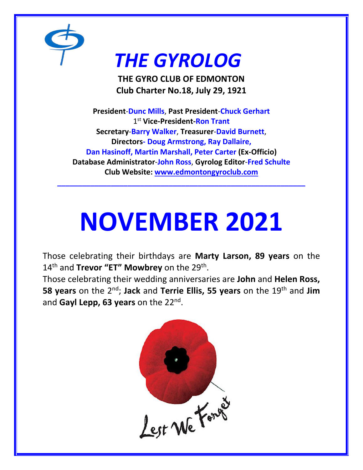

# *THE GYROLOG*

**THE GYRO CLUB OF EDMONTON Club Charter No.18, July 29, 1921**

**President**-**Dunc Mills**, **Past President**-**Chuck Gerhart** 1 st **Vice-President-Ron Trant Secretary**-**Barry Walker**, **Treasurer**-**David Burnett**, **Directors- Doug Armstrong, Ray Dallaire, Dan Hasinoff, Martin Marshall, Peter Carter (Ex-Officio) Database Administrator**-**John Ross**, **Gyrolog Editor**-**Fred Schulte Club Website: [www.edmontongyroclub.com](http://www.edmontongyroclub.com/)**

# **NOVEMBER 2021**

**\_\_\_\_\_\_\_\_\_\_\_\_\_\_\_\_\_\_\_\_\_\_\_\_\_\_\_\_\_\_\_\_\_\_\_\_\_\_\_\_\_\_\_\_\_\_\_\_\_\_\_\_\_\_\_\_\_\_\_\_**

Those celebrating their birthdays are **Marty Larson, 89 years** on the 14th and **Trevor "ET" Mowbrey** on the 29th .

Those celebrating their wedding anniversaries are **John** and **Helen Ross, 58 years** on the 2<sup>nd</sup>; Jack and Terrie Ellis, 55 years on the 19<sup>th</sup> and Jim and **Gayl Lepp, 63 years** on the 22nd .

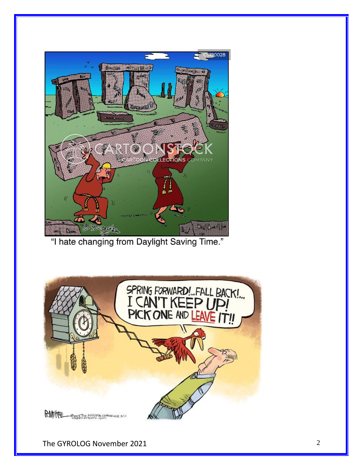

"I hate changing from Daylight Saving Time."



The GYROLOG November 2021 2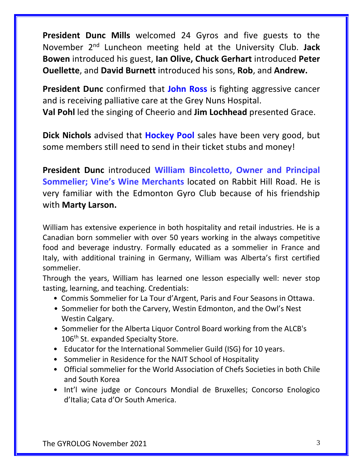**President Dunc Mills** welcomed 24 Gyros and five guests to the November 2nd Luncheon meeting held at the University Club. **Jack Bowen** introduced his guest, **Ian Olive, Chuck Gerhart** introduced **Peter Ouellette**, and **David Burnett** introduced his sons, **Rob**, and **Andrew.**

**President Dunc** confirmed that **John Ross** is fighting aggressive cancer and is receiving palliative care at the Grey Nuns Hospital. **Val Pohl** led the singing of Cheerio and **Jim Lochhead** presented Grace.

**Dick Nichols** advised that **Hockey Pool** sales have been very good, but some members still need to send in their ticket stubs and money!

**President Dunc** introduced **William Bincoletto, Owner and Principal Sommelier; Vine's Wine Merchants** located on Rabbit Hill Road. He is very familiar with the Edmonton Gyro Club because of his friendship with **Marty Larson.**

William has extensive experience in both hospitality and retail industries. He is a Canadian born sommelier with over 50 years working in the always competitive food and beverage industry. Formally educated as a sommelier in France and Italy, with additional training in Germany, William was Alberta's first certified sommelier.

Through the years, William has learned one lesson especially well: never stop tasting, learning, and teaching. Credentials:

- Commis Sommelier for La Tour d'Argent, Paris and Four Seasons in Ottawa.
- Sommelier for both the Carvery, Westin Edmonton, and the Owl's Nest Westin Calgary.
- Sommelier for the Alberta Liquor Control Board working from the ALCB's 106<sup>th</sup> St. expanded Specialty Store.
- Educator for the International Sommelier Guild (ISG) for 10 years.
- Sommelier in Residence for the NAIT School of Hospitality
- Official sommelier for the World Association of Chefs Societies in both Chile and South Korea
- Int'l wine judge or Concours Mondial de Bruxelles; Concorso Enologico d'Italia; Cata d'Or South America.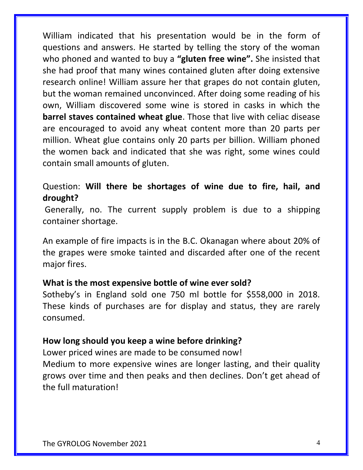William indicated that his presentation would be in the form of questions and answers. He started by telling the story of the woman who phoned and wanted to buy a **"gluten free wine".** She insisted that she had proof that many wines contained gluten after doing extensive research online! William assure her that grapes do not contain gluten, but the woman remained unconvinced. After doing some reading of his own, William discovered some wine is stored in casks in which the **barrel staves contained wheat glue**. Those that live with celiac disease are encouraged to avoid any wheat content more than 20 parts per million. Wheat glue contains only 20 parts per billion. William phoned the women back and indicated that she was right, some wines could contain small amounts of gluten.

# Question: **Will there be shortages of wine due to fire, hail, and drought?**

Generally, no. The current supply problem is due to a shipping container shortage.

An example of fire impacts is in the B.C. Okanagan where about 20% of the grapes were smoke tainted and discarded after one of the recent major fires.

#### **What is the most expensive bottle of wine ever sold?**

Sotheby's in England sold one 750 ml bottle for \$558,000 in 2018. These kinds of purchases are for display and status, they are rarely consumed.

#### **How long should you keep a wine before drinking?**

Lower priced wines are made to be consumed now!

Medium to more expensive wines are longer lasting, and their quality grows over time and then peaks and then declines. Don't get ahead of the full maturation!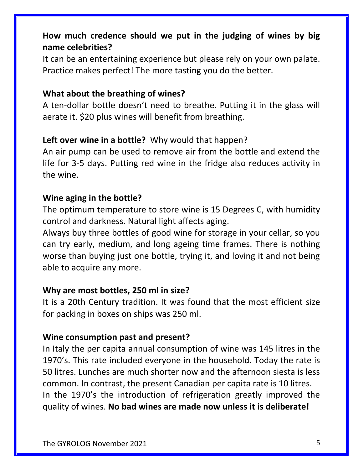# **How much credence should we put in the judging of wines by big name celebrities?**

It can be an entertaining experience but please rely on your own palate. Practice makes perfect! The more tasting you do the better.

#### **What about the breathing of wines?**

A ten-dollar bottle doesn't need to breathe. Putting it in the glass will aerate it. \$20 plus wines will benefit from breathing.

#### **Left over wine in a bottle?** Why would that happen?

An air pump can be used to remove air from the bottle and extend the life for 3-5 days. Putting red wine in the fridge also reduces activity in the wine.

#### **Wine aging in the bottle?**

The optimum temperature to store wine is 15 Degrees C, with humidity control and darkness. Natural light affects aging.

Always buy three bottles of good wine for storage in your cellar, so you can try early, medium, and long ageing time frames. There is nothing worse than buying just one bottle, trying it, and loving it and not being able to acquire any more.

#### **Why are most bottles, 250 ml in size?**

It is a 20th Century tradition. It was found that the most efficient size for packing in boxes on ships was 250 ml.

#### **Wine consumption past and present?**

In Italy the per capita annual consumption of wine was 145 litres in the 1970's. This rate included everyone in the household. Today the rate is 50 litres. Lunches are much shorter now and the afternoon siesta is less common. In contrast, the present Canadian per capita rate is 10 litres. In the 1970's the introduction of refrigeration greatly improved the quality of wines. **No bad wines are made now unless it is deliberate!**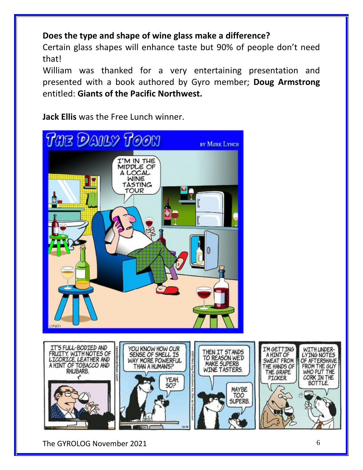# **Does the type and shape of wine glass make a difference?**

Certain glass shapes will enhance taste but 90% of people don't need that!

William was thanked for a very entertaining presentation and presented with a book authored by Gyro member; **Doug Armstrong** entitled: **Giants of the Pacific Northwest.**

**Jack Ellis** was the Free Lunch winner.



The GYROLOG November 2021 6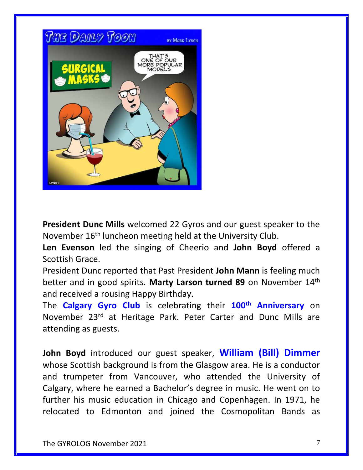

**President Dunc Mills** welcomed 22 Gyros and our guest speaker to the November 16<sup>th</sup> luncheon meeting held at the University Club.

**Len Evenson** led the singing of Cheerio and **John Boyd** offered a Scottish Grace.

President Dunc reported that Past President **John Mann** is feeling much better and in good spirits. **Marty Larson turned 89** on November 14th and received a rousing Happy Birthday.

The **Calgary Gyro Club** is celebrating their **100th Anniversary** on November 23rd at Heritage Park. Peter Carter and Dunc Mills are attending as guests.

**John Boyd** introduced our guest speaker, **William (Bill) Dimmer** whose Scottish background is from the Glasgow area. He is a conductor and trumpeter from Vancouver, who attended the University of Calgary, where he earned a Bachelor's degree in music. He went on to further his music education in Chicago and Copenhagen. In 1971, he relocated to Edmonton and joined the Cosmopolitan Bands as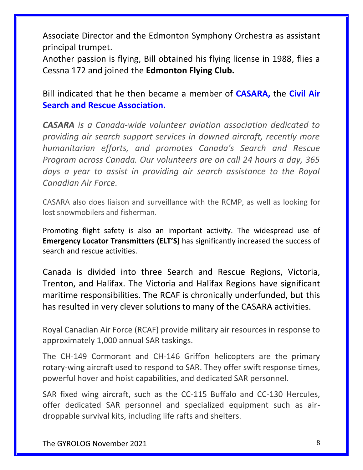Associate Director and the Edmonton Symphony Orchestra as assistant principal trumpet.

Another passion is flying, Bill obtained his flying license in 1988, flies a Cessna 172 and joined the **Edmonton Flying Club.**

Bill indicated that he then became a member of **CASARA,** the **Civil Air Search and Rescue Association.**

*CASARA is a Canada-wide volunteer aviation association dedicated to providing air search support services in downed aircraft, recently more humanitarian efforts, and promotes Canada's Search and Rescue Program across Canada. Our volunteers are on call 24 hours a day, 365 days a year to assist in providing air search assistance to the Royal Canadian Air Force.*

CASARA also does liaison and surveillance with the RCMP, as well as looking for lost snowmobilers and fisherman.

Promoting flight safety is also an important activity. The widespread use of **Emergency Locator Transmitters (ELT'S)** has significantly increased the success of search and rescue activities.

Canada is divided into three Search and Rescue Regions, Victoria, Trenton, and Halifax. The Victoria and Halifax Regions have significant maritime responsibilities. The RCAF is chronically underfunded, but this has resulted in very clever solutions to many of the CASARA activities.

Royal Canadian Air Force (RCAF) provide military air resources in response to approximately 1,000 annual SAR taskings.

The CH-149 Cormorant and CH-146 Griffon helicopters are the primary rotary-wing aircraft used to respond to SAR. They offer swift response times, powerful hover and hoist capabilities, and dedicated SAR personnel.

SAR fixed wing aircraft, such as the CC-115 Buffalo and CC-130 Hercules, offer dedicated SAR personnel and specialized equipment such as airdroppable survival kits, including life rafts and shelters.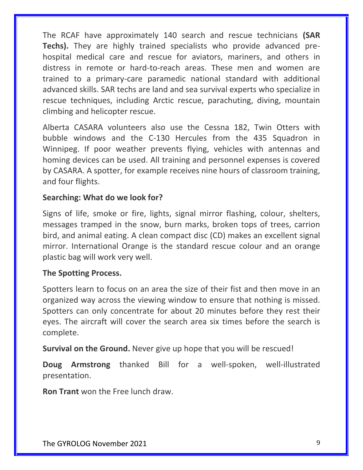The RCAF have approximately 140 search and rescue technicians **(SAR Techs).** They are highly trained specialists who provide advanced prehospital medical care and rescue for aviators, mariners, and others in distress in remote or hard-to-reach areas. These men and women are trained to a primary-care paramedic national standard with additional advanced skills. SAR techs are land and sea survival experts who specialize in rescue techniques, including Arctic rescue, parachuting, diving, mountain climbing and helicopter rescue.

Alberta CASARA volunteers also use the Cessna 182, Twin Otters with bubble windows and the C-130 Hercules from the 435 Squadron in Winnipeg. If poor weather prevents flying, vehicles with antennas and homing devices can be used. All training and personnel expenses is covered by CASARA. A spotter, for example receives nine hours of classroom training, and four flights.

#### **Searching: What do we look for?**

Signs of life, smoke or fire, lights, signal mirror flashing, colour, shelters, messages tramped in the snow, burn marks, broken tops of trees, carrion bird, and animal eating. A clean compact disc (CD) makes an excellent signal mirror. International Orange is the standard rescue colour and an orange plastic bag will work very well.

#### **The Spotting Process.**

Spotters learn to focus on an area the size of their fist and then move in an organized way across the viewing window to ensure that nothing is missed. Spotters can only concentrate for about 20 minutes before they rest their eyes. The aircraft will cover the search area six times before the search is complete.

**Survival on the Ground.** Never give up hope that you will be rescued!

**Doug Armstrong** thanked Bill for a well-spoken, well-illustrated presentation.

**Ron Trant** won the Free lunch draw.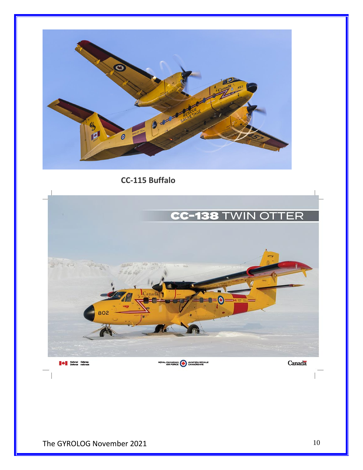

**CC-115 Buffalo**

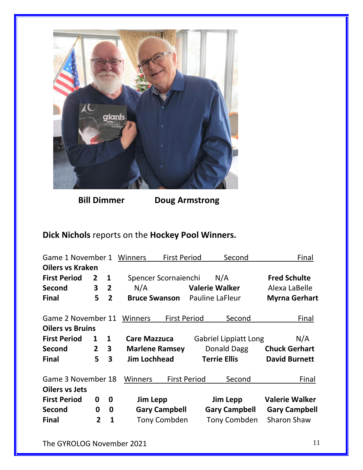

 **Bill Dimmer Doug Armstrong**

# **Dick Nichols** reports on the **Hockey Pool Winners.**

| Game 1 November 1       |                |                         | <b>Winners</b>              | <b>First Period</b>   |                              | Second                 | Final                 |
|-------------------------|----------------|-------------------------|-----------------------------|-----------------------|------------------------------|------------------------|-----------------------|
| <b>Oilers vs Kraken</b> |                |                         |                             |                       |                              |                        |                       |
| <b>First Period</b>     | $\mathbf{2}$   | $\mathbf{1}$            | Spencer Scornaienchi<br>N/A |                       |                              |                        | <b>Fred Schulte</b>   |
| <b>Second</b>           | $\mathbf{3}$   | $\overline{2}$          | N/A                         | <b>Valerie Walker</b> |                              |                        | Alexa LaBelle         |
| <b>Final</b>            | 5              | $\overline{2}$          | <b>Bruce Swanson</b>        |                       |                              | <b>Pauline LaFleur</b> | <b>Myrna Gerhart</b>  |
| Game 2 November 11      |                |                         | Winners                     | <b>First Period</b>   |                              | Second                 | Final                 |
| <b>Oilers vs Bruins</b> |                |                         |                             |                       |                              |                        |                       |
| <b>First Period</b>     | $\mathbf{1}$   | $\mathbf{1}$            | <b>Care Mazzuca</b>         |                       | <b>Gabriel Lippiatt Long</b> |                        | N/A                   |
| Second                  | $2^{\circ}$    | $\overline{\mathbf{3}}$ | <b>Marlene Ramsey</b>       |                       | Donald Dagg                  |                        | <b>Chuck Gerhart</b>  |
| <b>Final</b>            | 5              | 3                       | <b>Jim Lochhead</b>         |                       |                              | <b>Terrie Ellis</b>    | <b>David Burnett</b>  |
| Game 3 November 18      |                |                         | Winners                     | <b>First Period</b>   |                              | Second                 | Final                 |
| <b>Oilers vs Jets</b>   |                |                         |                             |                       |                              |                        |                       |
| <b>First Period</b>     | 0              | 0                       | Jim Lepp                    |                       | Jim Lepp                     |                        | <b>Valerie Walker</b> |
| <b>Second</b>           | 0              | 0                       | <b>Gary Campbell</b>        |                       |                              | <b>Gary Campbell</b>   | <b>Gary Campbell</b>  |
| <b>Final</b>            | $\overline{2}$ | $\mathbf{1}$            |                             | <b>Tony Combden</b>   |                              | <b>Tony Combden</b>    | <b>Sharon Shaw</b>    |